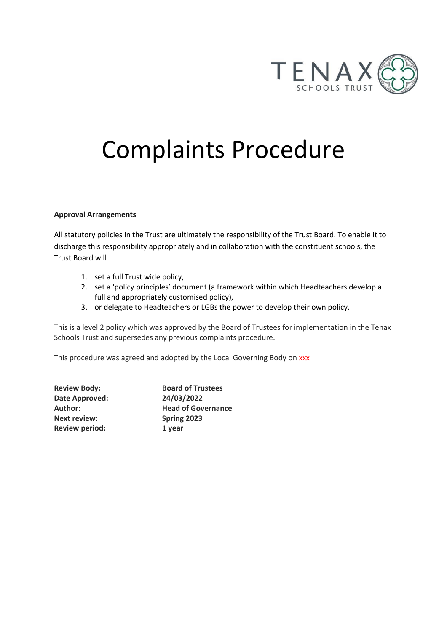

# Complaints Procedure

## **Approval Arrangements**

All statutory policies in the Trust are ultimately the responsibility of the Trust Board. To enable it to discharge this responsibility appropriately and in collaboration with the constituent schools, the Trust Board will

- 1. set a full Trust wide policy,
- 2. set a 'policy principles' document (a framework within which Headteachers develop a full and appropriately customised policy),
- 3. or delegate to Headteachers or LGBs the power to develop their own policy.

This is a level 2 policy which was approved by the Board of Trustees for implementation in the Tenax Schools Trust and supersedes any previous complaints procedure.

This procedure was agreed and adopted by the Local Governing Body on xxx

| <b>Review Body:</b>   | <b>Board of Trustees</b>  |
|-----------------------|---------------------------|
| Date Approved:        | 24/03/2022                |
| Author:               | <b>Head of Governance</b> |
| <b>Next review:</b>   | Spring 2023               |
| <b>Review period:</b> | 1 year                    |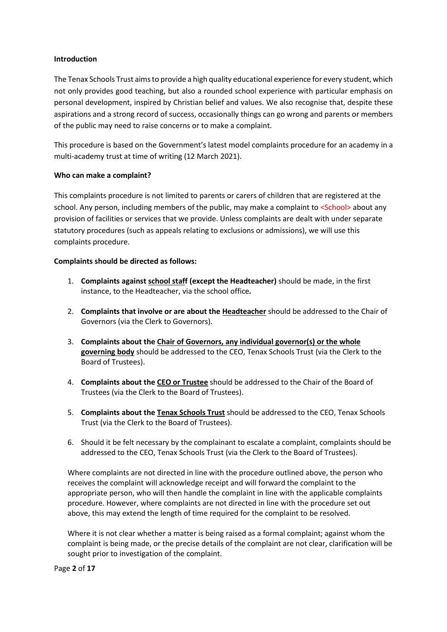## **Introduction**

The Tenax Schools Trust aims to provide a high quality educational experience for every student, which not only provides good teaching, but also a rounded school experience with particular emphasis on personal development, inspired by Christian belief and values. We also recognise that, despite these aspirations and a strong record of success, occasionally things can go wrong and parents or members of the public may need to raise concerns or to make a complaint.

This procedure is based on the Government's latest model complaints procedure for an academy in a multi-academy trust at time of writing (12 March 2021).

## **Who can make a complaint?**

This complaints procedure is not limited to parents or carers of children that are registered at the school. Any person, including members of the public, may make a complaint to <School> about any provision of facilities or services that we provide. Unless complaints are dealt with under separate statutory procedures (such as appeals relating to exclusions or admissions), we will use this complaints procedure.

#### **Complaints should be directed as follows:**

- 1. **Complaints against school staff (except the Headteacher)** should be made, in the first instance, to the Headteacher, via the school office*.*
- 2. **Complaints that involve or are about the Headteacher** should be addressed to the Chair of Governors (via the Clerk to Governors).
- 3. **Complaints about the Chair of Governors, any individual governor(s) or the whole governing body** should be addressed to the CEO, Tenax Schools Trust (via the Clerk to the Board of Trustees).
- 4. **Complaints about the CEO or Trustee** should be addressed to the Chair of the Board of Trustees (via the Clerk to the Board of Trustees).
- 5. **Complaints about the Tenax Schools Trust** should be addressed to the CEO, Tenax Schools Trust (via the Clerk to the Board of Trustees).
- 6. Should it be felt necessary by the complainant to escalate a complaint, complaints should be addressed to the CEO, Tenax Schools Trust (via the Clerk to the Board of Trustees).

Where complaints are not directed in line with the procedure outlined above, the person who receives the complaint will acknowledge receipt and will forward the complaint to the appropriate person, who will then handle the complaint in line with the applicable complaints procedure. However, where complaints are not directed in line with the procedure set out above, this may extend the length of time required for the complaint to be resolved.

Where it is not clear whether a matter is being raised as a formal complaint; against whom the complaint is being made, or the precise details of the complaint are not clear, clarification will be sought prior to investigation of the complaint.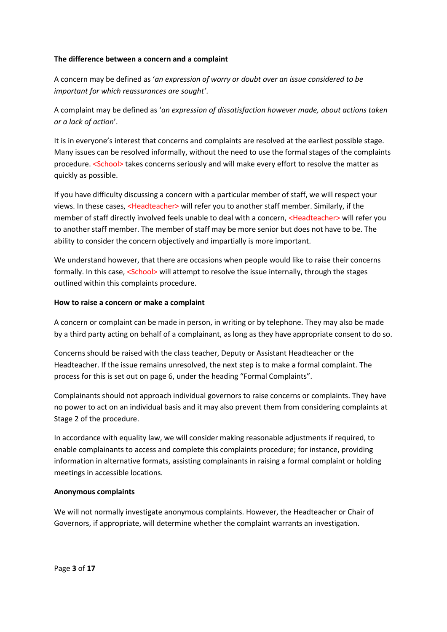## **The difference between a concern and a complaint**

A concern may be defined as '*an expression of worry or doubt over an issue considered to be important for which reassurances are sought'*.

A complaint may be defined as '*an expression of dissatisfaction however made, about actions taken or a lack of action*'.

It is in everyone's interest that concerns and complaints are resolved at the earliest possible stage. Many issues can be resolved informally, without the need to use the formal stages of the complaints procedure. <School> takes concerns seriously and will make every effort to resolve the matter as quickly as possible.

If you have difficulty discussing a concern with a particular member of staff, we will respect your views. In these cases, <Headteacher> will refer you to another staff member. Similarly, if the member of staff directly involved feels unable to deal with a concern, <Headteacher> will refer you to another staff member. The member of staff may be more senior but does not have to be. The ability to consider the concern objectively and impartially is more important.

We understand however, that there are occasions when people would like to raise their concerns formally. In this case, <School> will attempt to resolve the issue internally, through the stages outlined within this complaints procedure.

## **How to raise a concern or make a complaint**

A concern or complaint can be made in person, in writing or by telephone. They may also be made by a third party acting on behalf of a complainant, as long as they have appropriate consent to do so.

Concerns should be raised with the class teacher, Deputy or Assistant Headteacher or the Headteacher. If the issue remains unresolved, the next step is to make a formal complaint. The process for this is set out on page 6, under the heading "Formal Complaints".

Complainants should not approach individual governors to raise concerns or complaints. They have no power to act on an individual basis and it may also prevent them from considering complaints at Stage 2 of the procedure.

In accordance with equality law, we will consider making reasonable adjustments if required, to enable complainants to access and complete this complaints procedure; for instance, providing information in alternative formats, assisting complainants in raising a formal complaint or holding meetings in accessible locations.

## **Anonymous complaints**

We will not normally investigate anonymous complaints. However, the Headteacher or Chair of Governors, if appropriate, will determine whether the complaint warrants an investigation.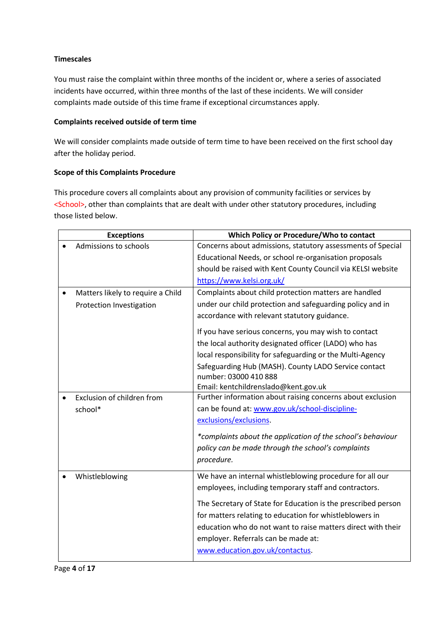## **Timescales**

You must raise the complaint within three months of the incident or, where a series of associated incidents have occurred, within three months of the last of these incidents. We will consider complaints made outside of this time frame if exceptional circumstances apply.

## **Complaints received outside of term time**

We will consider complaints made outside of term time to have been received on the first school day after the holiday period.

## **Scope of this Complaints Procedure**

This procedure covers all complaints about any provision of community facilities or services by <School>, other than complaints that are dealt with under other statutory procedures, including those listed below.

| <b>Exceptions</b>                 | Which Policy or Procedure/Who to contact                      |
|-----------------------------------|---------------------------------------------------------------|
| Admissions to schools             | Concerns about admissions, statutory assessments of Special   |
|                                   | Educational Needs, or school re-organisation proposals        |
|                                   | should be raised with Kent County Council via KELSI website   |
|                                   | https://www.kelsi.org.uk/                                     |
| Matters likely to require a Child | Complaints about child protection matters are handled         |
| Protection Investigation          | under our child protection and safeguarding policy and in     |
|                                   | accordance with relevant statutory guidance.                  |
|                                   | If you have serious concerns, you may wish to contact         |
|                                   | the local authority designated officer (LADO) who has         |
|                                   | local responsibility for safeguarding or the Multi-Agency     |
|                                   | Safeguarding Hub (MASH). County LADO Service contact          |
|                                   | number: 03000 410 888                                         |
|                                   | Email: kentchildrenslado@kent.gov.uk                          |
| Exclusion of children from        | Further information about raising concerns about exclusion    |
| school*                           | can be found at: www.gov.uk/school-discipline-                |
|                                   | exclusions/exclusions.                                        |
|                                   | *complaints about the application of the school's behaviour   |
|                                   | policy can be made through the school's complaints            |
|                                   | procedure.                                                    |
| Whistleblowing                    | We have an internal whistleblowing procedure for all our      |
|                                   | employees, including temporary staff and contractors.         |
|                                   | The Secretary of State for Education is the prescribed person |
|                                   | for matters relating to education for whistleblowers in       |
|                                   | education who do not want to raise matters direct with their  |
|                                   | employer. Referrals can be made at:                           |
|                                   | www.education.gov.uk/contactus.                               |
|                                   |                                                               |

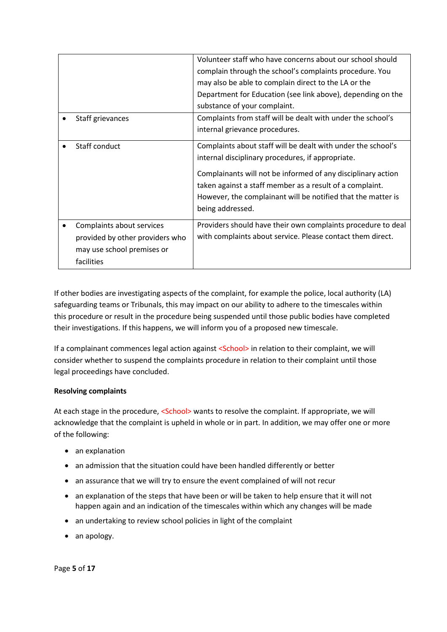|                                                              | Volunteer staff who have concerns about our school should                                                                                                                                                    |
|--------------------------------------------------------------|--------------------------------------------------------------------------------------------------------------------------------------------------------------------------------------------------------------|
|                                                              | complain through the school's complaints procedure. You                                                                                                                                                      |
|                                                              | may also be able to complain direct to the LA or the                                                                                                                                                         |
|                                                              | Department for Education (see link above), depending on the                                                                                                                                                  |
|                                                              | substance of your complaint.                                                                                                                                                                                 |
| Staff grievances                                             | Complaints from staff will be dealt with under the school's                                                                                                                                                  |
|                                                              | internal grievance procedures.                                                                                                                                                                               |
| Staff conduct                                                | Complaints about staff will be dealt with under the school's                                                                                                                                                 |
|                                                              | internal disciplinary procedures, if appropriate.                                                                                                                                                            |
|                                                              | Complainants will not be informed of any disciplinary action<br>taken against a staff member as a result of a complaint.<br>However, the complainant will be notified that the matter is<br>being addressed. |
| Complaints about services<br>provided by other providers who | Providers should have their own complaints procedure to deal<br>with complaints about service. Please contact them direct.                                                                                   |
| may use school premises or                                   |                                                                                                                                                                                                              |
| facilities                                                   |                                                                                                                                                                                                              |

If other bodies are investigating aspects of the complaint, for example the police, local authority (LA) safeguarding teams or Tribunals, this may impact on our ability to adhere to the timescales within this procedure or result in the procedure being suspended until those public bodies have completed their investigations. If this happens, we will inform you of a proposed new timescale.

If a complainant commences legal action against <School> in relation to their complaint, we will consider whether to suspend the complaints procedure in relation to their complaint until those legal proceedings have concluded.

## **Resolving complaints**

At each stage in the procedure, <School> wants to resolve the complaint. If appropriate, we will acknowledge that the complaint is upheld in whole or in part. In addition, we may offer one or more of the following:

- an explanation
- an admission that the situation could have been handled differently or better
- an assurance that we will try to ensure the event complained of will not recur
- an explanation of the steps that have been or will be taken to help ensure that it will not happen again and an indication of the timescales within which any changes will be made
- an undertaking to review school policies in light of the complaint
- an apology.

Page **5** of **17**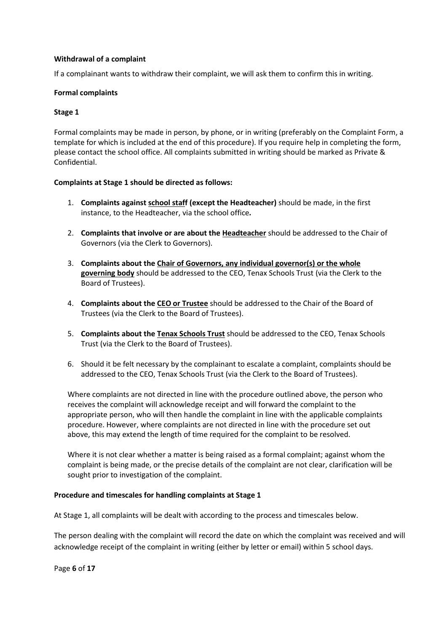## **Withdrawal of a complaint**

If a complainant wants to withdraw their complaint, we will ask them to confirm this in writing.

## **Formal complaints**

## **Stage 1**

Formal complaints may be made in person, by phone, or in writing (preferably on the Complaint Form, a template for which is included at the end of this procedure). If you require help in completing the form, please contact the school office. All complaints submitted in writing should be marked as Private & Confidential.

## **Complaints at Stage 1 should be directed as follows:**

- 1. **Complaints against school staff (except the Headteacher)** should be made, in the first instance, to the Headteacher, via the school office*.*
- 2. **Complaints that involve or are about the Headteacher** should be addressed to the Chair of Governors (via the Clerk to Governors).
- 3. **Complaints about the Chair of Governors, any individual governor(s) or the whole governing body** should be addressed to the CEO, Tenax Schools Trust (via the Clerk to the Board of Trustees).
- 4. **Complaints about the CEO or Trustee** should be addressed to the Chair of the Board of Trustees (via the Clerk to the Board of Trustees).
- 5. **Complaints about the Tenax Schools Trust** should be addressed to the CEO, Tenax Schools Trust (via the Clerk to the Board of Trustees).
- 6. Should it be felt necessary by the complainant to escalate a complaint, complaints should be addressed to the CEO, Tenax Schools Trust (via the Clerk to the Board of Trustees).

Where complaints are not directed in line with the procedure outlined above, the person who receives the complaint will acknowledge receipt and will forward the complaint to the appropriate person, who will then handle the complaint in line with the applicable complaints procedure. However, where complaints are not directed in line with the procedure set out above, this may extend the length of time required for the complaint to be resolved.

Where it is not clear whether a matter is being raised as a formal complaint; against whom the complaint is being made, or the precise details of the complaint are not clear, clarification will be sought prior to investigation of the complaint.

## **Procedure and timescales for handling complaints at Stage 1**

At Stage 1, all complaints will be dealt with according to the process and timescales below.

The person dealing with the complaint will record the date on which the complaint was received and will acknowledge receipt of the complaint in writing (either by letter or email) within 5 school days.

Page **6** of **17**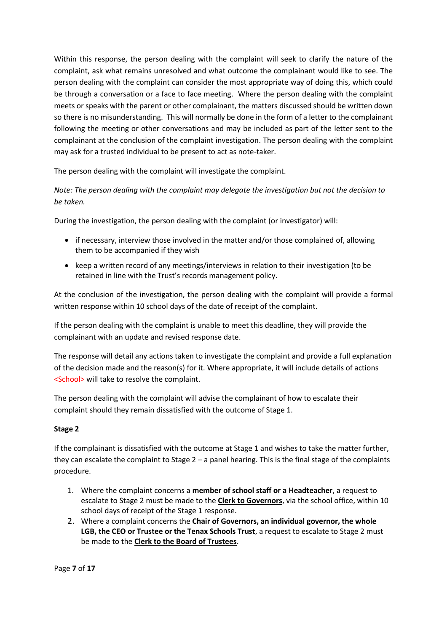Within this response, the person dealing with the complaint will seek to clarify the nature of the complaint, ask what remains unresolved and what outcome the complainant would like to see. The person dealing with the complaint can consider the most appropriate way of doing this, which could be through a conversation or a face to face meeting. Where the person dealing with the complaint meets or speaks with the parent or other complainant, the matters discussed should be written down so there is no misunderstanding. This will normally be done in the form of a letter to the complainant following the meeting or other conversations and may be included as part of the letter sent to the complainant at the conclusion of the complaint investigation. The person dealing with the complaint may ask for a trusted individual to be present to act as note-taker.

The person dealing with the complaint will investigate the complaint.

*Note: The person dealing with the complaint may delegate the investigation but not the decision to be taken.*

During the investigation, the person dealing with the complaint (or investigator) will:

- if necessary, interview those involved in the matter and/or those complained of, allowing them to be accompanied if they wish
- keep a written record of any meetings/interviews in relation to their investigation (to be retained in line with the Trust's records management policy.

At the conclusion of the investigation, the person dealing with the complaint will provide a formal written response within 10 school days of the date of receipt of the complaint.

If the person dealing with the complaint is unable to meet this deadline, they will provide the complainant with an update and revised response date.

The response will detail any actions taken to investigate the complaint and provide a full explanation of the decision made and the reason(s) for it. Where appropriate, it will include details of actions <School> will take to resolve the complaint.

The person dealing with the complaint will advise the complainant of how to escalate their complaint should they remain dissatisfied with the outcome of Stage 1.

## **Stage 2**

If the complainant is dissatisfied with the outcome at Stage 1 and wishes to take the matter further, they can escalate the complaint to Stage  $2 - a$  panel hearing. This is the final stage of the complaints procedure.

- 1. Where the complaint concerns a **member of school staff or a Headteacher**, a request to escalate to Stage 2 must be made to the **Clerk to Governors**, via the school office, within 10 school days of receipt of the Stage 1 response.
- 2. Where a complaint concerns the **Chair of Governors, an individual governor, the whole LGB, the CEO or Trustee or the Tenax Schools Trust**, a request to escalate to Stage 2 must be made to the **Clerk to the Board of Trustees**.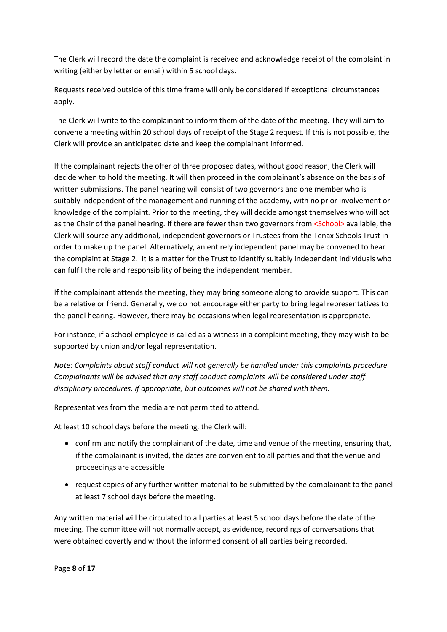The Clerk will record the date the complaint is received and acknowledge receipt of the complaint in writing (either by letter or email) within 5 school days.

Requests received outside of this time frame will only be considered if exceptional circumstances apply.

The Clerk will write to the complainant to inform them of the date of the meeting. They will aim to convene a meeting within 20 school days of receipt of the Stage 2 request. If this is not possible, the Clerk will provide an anticipated date and keep the complainant informed.

If the complainant rejects the offer of three proposed dates, without good reason, the Clerk will decide when to hold the meeting. It will then proceed in the complainant's absence on the basis of written submissions. The panel hearing will consist of two governors and one member who is suitably independent of the management and running of the academy, with no prior involvement or knowledge of the complaint. Prior to the meeting, they will decide amongst themselves who will act as the Chair of the panel hearing. If there are fewer than two governors from <School> available, the Clerk will source any additional, independent governors or Trustees from the Tenax Schools Trust in order to make up the panel. Alternatively, an entirely independent panel may be convened to hear the complaint at Stage 2. It is a matter for the Trust to identify suitably independent individuals who can fulfil the role and responsibility of being the independent member.

If the complainant attends the meeting, they may bring someone along to provide support. This can be a relative or friend. Generally, we do not encourage either party to bring legal representatives to the panel hearing. However, there may be occasions when legal representation is appropriate.

For instance, if a school employee is called as a witness in a complaint meeting, they may wish to be supported by union and/or legal representation.

*Note: Complaints about staff conduct will not generally be handled under this complaints procedure. Complainants will be advised that any staff conduct complaints will be considered under staff disciplinary procedures, if appropriate, but outcomes will not be shared with them.* 

Representatives from the media are not permitted to attend.

At least 10 school days before the meeting, the Clerk will:

- confirm and notify the complainant of the date, time and venue of the meeting, ensuring that, if the complainant is invited, the dates are convenient to all parties and that the venue and proceedings are accessible
- request copies of any further written material to be submitted by the complainant to the panel at least 7 school days before the meeting.

Any written material will be circulated to all parties at least 5 school days before the date of the meeting. The committee will not normally accept, as evidence, recordings of conversations that were obtained covertly and without the informed consent of all parties being recorded.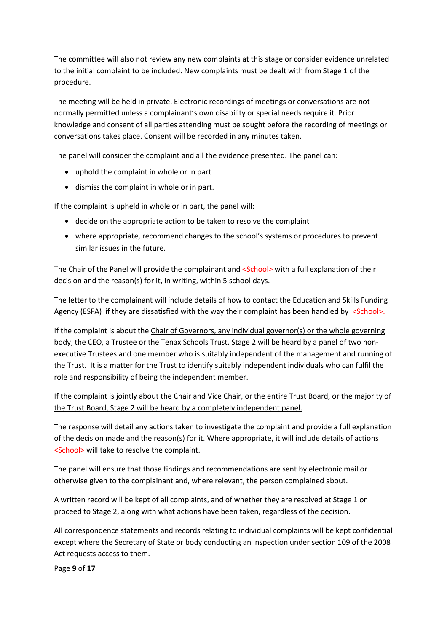The committee will also not review any new complaints at this stage or consider evidence unrelated to the initial complaint to be included. New complaints must be dealt with from Stage 1 of the procedure.

The meeting will be held in private. Electronic recordings of meetings or conversations are not normally permitted unless a complainant's own disability or special needs require it. Prior knowledge and consent of all parties attending must be sought before the recording of meetings or conversations takes place. Consent will be recorded in any minutes taken.

The panel will consider the complaint and all the evidence presented. The panel can:

- uphold the complaint in whole or in part
- dismiss the complaint in whole or in part.

If the complaint is upheld in whole or in part, the panel will:

- decide on the appropriate action to be taken to resolve the complaint
- where appropriate, recommend changes to the school's systems or procedures to prevent similar issues in the future.

The Chair of the Panel will provide the complainant and <School> with a full explanation of their decision and the reason(s) for it, in writing, within 5 school days.

The letter to the complainant will include details of how to contact the Education and Skills Funding Agency (ESFA) if they are dissatisfied with the way their complaint has been handled by  $\le$ School>.

If the complaint is about the Chair of Governors, any individual governor(s) or the whole governing body, the CEO, a Trustee or the Tenax Schools Trust, Stage 2 will be heard by a panel of two nonexecutive Trustees and one member who is suitably independent of the management and running of the Trust. It is a matter for the Trust to identify suitably independent individuals who can fulfil the role and responsibility of being the independent member.

If the complaint is jointly about the Chair and Vice Chair, or the entire Trust Board, or the majority of the Trust Board, Stage 2 will be heard by a completely independent panel.

The response will detail any actions taken to investigate the complaint and provide a full explanation of the decision made and the reason(s) for it. Where appropriate, it will include details of actions <School> will take to resolve the complaint.

The panel will ensure that those findings and recommendations are sent by electronic mail or otherwise given to the complainant and, where relevant, the person complained about.

A written record will be kept of all complaints, and of whether they are resolved at Stage 1 or proceed to Stage 2, along with what actions have been taken, regardless of the decision.

All correspondence statements and records relating to individual complaints will be kept confidential except where the Secretary of State or body conducting an inspection under section 109 of the 2008 Act requests access to them.

Page **9** of **17**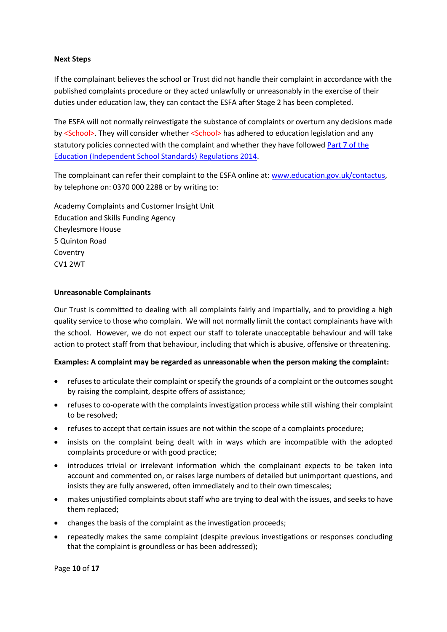## **Next Steps**

If the complainant believes the school or Trust did not handle their complaint in accordance with the published complaints procedure or they acted unlawfully or unreasonably in the exercise of their duties under education law, they can contact the ESFA after Stage 2 has been completed.

The ESFA will not normally reinvestigate the substance of complaints or overturn any decisions made by <School>. They will consider whether <School> has adhered to education legislation and any statutory policies connected with the complaint and whether they have followed [Part 7 of the](http://www.legislation.gov.uk/uksi/2010/1997/schedule/1/made)  [Education \(Independent School Standards\) Regulations 2014.](http://www.legislation.gov.uk/uksi/2010/1997/schedule/1/made)

The complainant can refer their complaint to the ESFA online at[: www.education.gov.uk/contactus,](http://www.education.gov.uk/contactus) by telephone on: 0370 000 2288 or by writing to:

Academy Complaints and Customer Insight Unit Education and Skills Funding Agency Cheylesmore House 5 Quinton Road Coventry CV1 2WT

## **Unreasonable Complainants**

Our Trust is committed to dealing with all complaints fairly and impartially, and to providing a high quality service to those who complain. We will not normally limit the contact complainants have with the school. However, we do not expect our staff to tolerate unacceptable behaviour and will take action to protect staff from that behaviour, including that which is abusive, offensive or threatening.

## **Examples: A complaint may be regarded as unreasonable when the person making the complaint:**

- refuses to articulate their complaint or specify the grounds of a complaint or the outcomes sought by raising the complaint, despite offers of assistance;
- refuses to co-operate with the complaints investigation process while still wishing their complaint to be resolved;
- refuses to accept that certain issues are not within the scope of a complaints procedure;
- insists on the complaint being dealt with in ways which are incompatible with the adopted complaints procedure or with good practice;
- introduces trivial or irrelevant information which the complainant expects to be taken into account and commented on, or raises large numbers of detailed but unimportant questions, and insists they are fully answered, often immediately and to their own timescales;
- makes unjustified complaints about staff who are trying to deal with the issues, and seeks to have them replaced;
- changes the basis of the complaint as the investigation proceeds;
- repeatedly makes the same complaint (despite previous investigations or responses concluding that the complaint is groundless or has been addressed);

Page **10** of **17**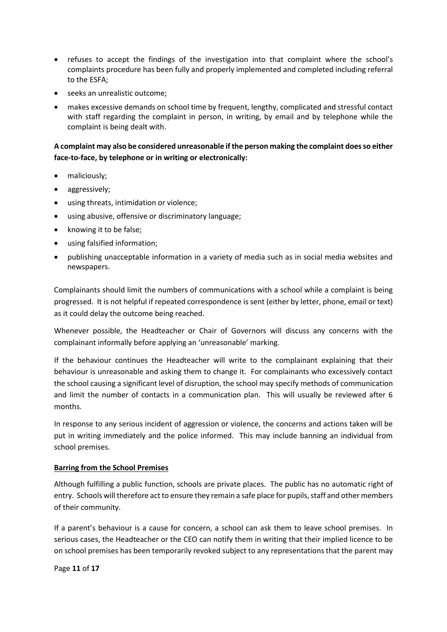- refuses to accept the findings of the investigation into that complaint where the school's complaints procedure has been fully and properly implemented and completed including referral to the ESFA;
- seeks an unrealistic outcome;
- makes excessive demands on school time by frequent, lengthy, complicated and stressful contact with staff regarding the complaint in person, in writing, by email and by telephone while the complaint is being dealt with.

## **A complaint may also be considered unreasonable if the person making the complaint does so either face-to-face, by telephone or in writing or electronically:**

- maliciously;
- aggressively;
- using threats, intimidation or violence;
- using abusive, offensive or discriminatory language;
- knowing it to be false;
- using falsified information;
- publishing unacceptable information in a variety of media such as in social media websites and newspapers.

Complainants should limit the numbers of communications with a school while a complaint is being progressed. It is not helpful if repeated correspondence is sent (either by letter, phone, email or text) as it could delay the outcome being reached.

Whenever possible, the Headteacher or Chair of Governors will discuss any concerns with the complainant informally before applying an 'unreasonable' marking.

If the behaviour continues the Headteacher will write to the complainant explaining that their behaviour is unreasonable and asking them to change it. For complainants who excessively contact the school causing a significant level of disruption, the school may specify methods of communication and limit the number of contacts in a communication plan. This will usually be reviewed after 6 months.

In response to any serious incident of aggression or violence, the concerns and actions taken will be put in writing immediately and the police informed. This may include banning an individual from school premises.

## **Barring from the School Premises**

Although fulfilling a public function, schools are private places. The public has no automatic right of entry. Schools will therefore act to ensure they remain a safe place for pupils, staff and other members of their community.

If a parent's behaviour is a cause for concern, a school can ask them to leave school premises. In serious cases, the Headteacher or the CEO can notify them in writing that their implied licence to be on school premises has been temporarily revoked subject to any representations that the parent may

Page **11** of **17**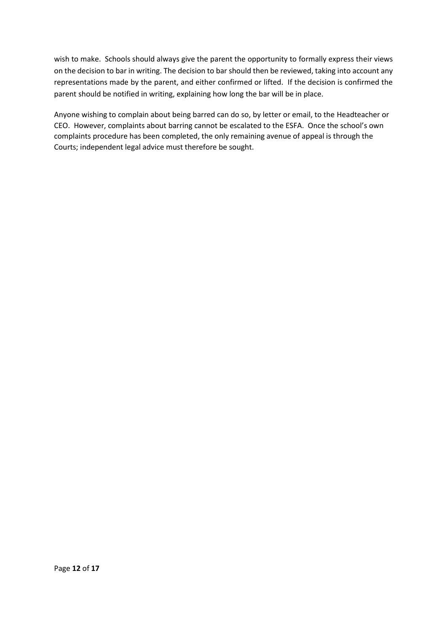wish to make. Schools should always give the parent the opportunity to formally express their views on the decision to bar in writing. The decision to bar should then be reviewed, taking into account any representations made by the parent, and either confirmed or lifted. If the decision is confirmed the parent should be notified in writing, explaining how long the bar will be in place.

Anyone wishing to complain about being barred can do so, by letter or email, to the Headteacher or CEO. However, complaints about barring cannot be escalated to the ESFA. Once the school's own complaints procedure has been completed, the only remaining avenue of appeal is through the Courts; independent legal advice must therefore be sought.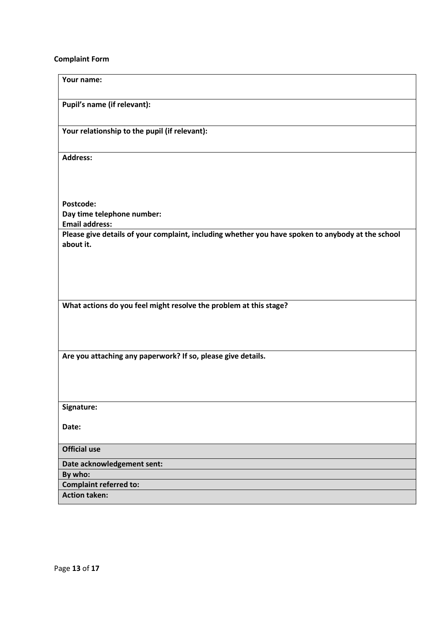## **Complaint Form**

| Your name:                                                                                                                 |  |  |
|----------------------------------------------------------------------------------------------------------------------------|--|--|
| Pupil's name (if relevant):                                                                                                |  |  |
| Your relationship to the pupil (if relevant):                                                                              |  |  |
| <b>Address:</b>                                                                                                            |  |  |
|                                                                                                                            |  |  |
| Postcode:                                                                                                                  |  |  |
| Day time telephone number:                                                                                                 |  |  |
| <b>Email address:</b><br>Please give details of your complaint, including whether you have spoken to anybody at the school |  |  |
| about it.                                                                                                                  |  |  |
|                                                                                                                            |  |  |
|                                                                                                                            |  |  |
|                                                                                                                            |  |  |
|                                                                                                                            |  |  |
| What actions do you feel might resolve the problem at this stage?                                                          |  |  |
|                                                                                                                            |  |  |
|                                                                                                                            |  |  |
|                                                                                                                            |  |  |
| Are you attaching any paperwork? If so, please give details.                                                               |  |  |
|                                                                                                                            |  |  |
|                                                                                                                            |  |  |
|                                                                                                                            |  |  |
| Signature:                                                                                                                 |  |  |
|                                                                                                                            |  |  |
| Date:                                                                                                                      |  |  |
| <b>Official use</b>                                                                                                        |  |  |
| Date acknowledgement sent:                                                                                                 |  |  |
| By who:                                                                                                                    |  |  |
| <b>Complaint referred to:</b>                                                                                              |  |  |
| <b>Action taken:</b>                                                                                                       |  |  |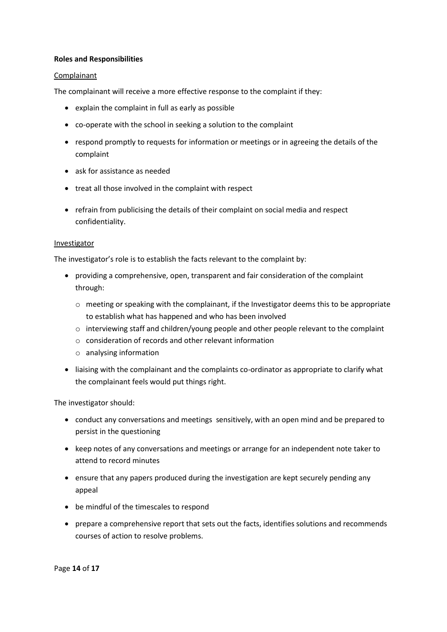#### **Roles and Responsibilities**

#### Complainant

The complainant will receive a more effective response to the complaint if they:

- explain the complaint in full as early as possible
- co-operate with the school in seeking a solution to the complaint
- respond promptly to requests for information or meetings or in agreeing the details of the complaint
- ask for assistance as needed
- treat all those involved in the complaint with respect
- refrain from publicising the details of their complaint on social media and respect confidentiality.

#### Investigator

The investigator's role is to establish the facts relevant to the complaint by:

- providing a comprehensive, open, transparent and fair consideration of the complaint through:
	- o meeting or speaking with the complainant, if the Investigator deems this to be appropriate to establish what has happened and who has been involved
	- $\circ$  interviewing staff and children/young people and other people relevant to the complaint
	- o consideration of records and other relevant information
	- o analysing information
- liaising with the complainant and the complaints co-ordinator as appropriate to clarify what the complainant feels would put things right.

The investigator should:

- conduct any conversations and meetings sensitively, with an open mind and be prepared to persist in the questioning
- keep notes of any conversations and meetings or arrange for an independent note taker to attend to record minutes
- ensure that any papers produced during the investigation are kept securely pending any appeal
- be mindful of the timescales to respond
- prepare a comprehensive report that sets out the facts, identifies solutions and recommends courses of action to resolve problems.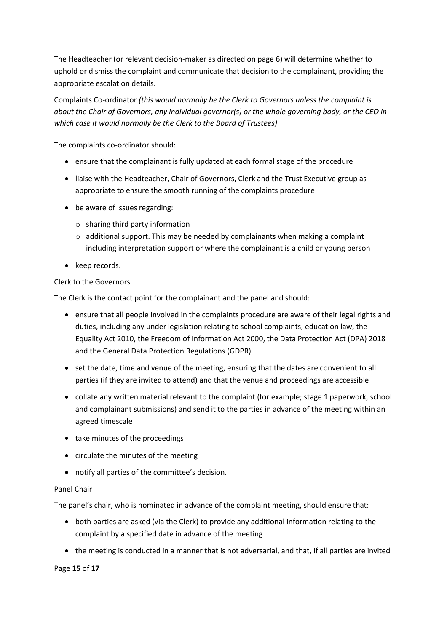The Headteacher (or relevant decision-maker as directed on page 6) will determine whether to uphold or dismiss the complaint and communicate that decision to the complainant, providing the appropriate escalation details.

Complaints Co-ordinator *(this would normally be the Clerk to Governors unless the complaint is about the Chair of Governors, any individual governor(s) or the whole governing body, or the CEO in which case it would normally be the Clerk to the Board of Trustees)*

The complaints co-ordinator should:

- ensure that the complainant is fully updated at each formal stage of the procedure
- liaise with the Headteacher, Chair of Governors, Clerk and the Trust Executive group as appropriate to ensure the smooth running of the complaints procedure
- be aware of issues regarding:
	- o sharing third party information
	- $\circ$  additional support. This may be needed by complainants when making a complaint including interpretation support or where the complainant is a child or young person
- keep records.

## Clerk to the Governors

The Clerk is the contact point for the complainant and the panel and should:

- ensure that all people involved in the complaints procedure are aware of their legal rights and duties, including any under legislation relating to school complaints, education law, the Equality Act 2010, the Freedom of Information Act 2000, the Data Protection Act (DPA) 2018 and the General Data Protection Regulations (GDPR)
- set the date, time and venue of the meeting, ensuring that the dates are convenient to all parties (if they are invited to attend) and that the venue and proceedings are accessible
- collate any written material relevant to the complaint (for example; stage 1 paperwork, school and complainant submissions) and send it to the parties in advance of the meeting within an agreed timescale
- take minutes of the proceedings
- circulate the minutes of the meeting
- notify all parties of the committee's decision.

## Panel Chair

The panel's chair, who is nominated in advance of the complaint meeting, should ensure that:

- both parties are asked (via the Clerk) to provide any additional information relating to the complaint by a specified date in advance of the meeting
- the meeting is conducted in a manner that is not adversarial, and that, if all parties are invited

## Page **15** of **17**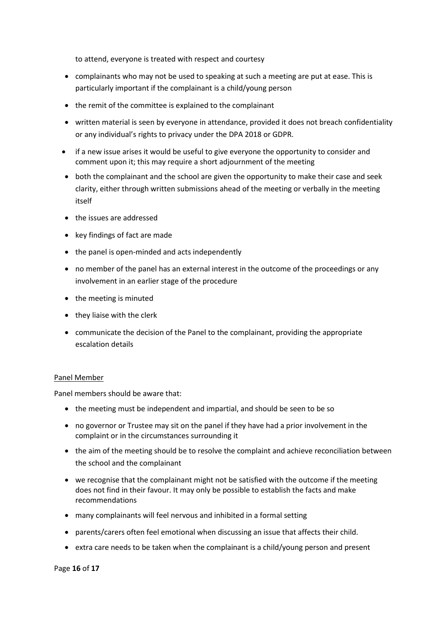to attend, everyone is treated with respect and courtesy

- complainants who may not be used to speaking at such a meeting are put at ease. This is particularly important if the complainant is a child/young person
- the remit of the committee is explained to the complainant
- written material is seen by everyone in attendance, provided it does not breach confidentiality or any individual's rights to privacy under the DPA 2018 or GDPR.
- if a new issue arises it would be useful to give everyone the opportunity to consider and comment upon it; this may require a short adjournment of the meeting
- both the complainant and the school are given the opportunity to make their case and seek clarity, either through written submissions ahead of the meeting or verbally in the meeting itself
- the issues are addressed
- key findings of fact are made
- the panel is open-minded and acts independently
- no member of the panel has an external interest in the outcome of the proceedings or any involvement in an earlier stage of the procedure
- the meeting is minuted
- they liaise with the clerk
- communicate the decision of the Panel to the complainant, providing the appropriate escalation details

## Panel Member

Panel members should be aware that:

- the meeting must be independent and impartial, and should be seen to be so
- no governor or Trustee may sit on the panel if they have had a prior involvement in the complaint or in the circumstances surrounding it
- the aim of the meeting should be to resolve the complaint and achieve reconciliation between the school and the complainant
- we recognise that the complainant might not be satisfied with the outcome if the meeting does not find in their favour. It may only be possible to establish the facts and make recommendations
- many complainants will feel nervous and inhibited in a formal setting
- parents/carers often feel emotional when discussing an issue that affects their child.
- extra care needs to be taken when the complainant is a child/young person and present

Page **16** of **17**